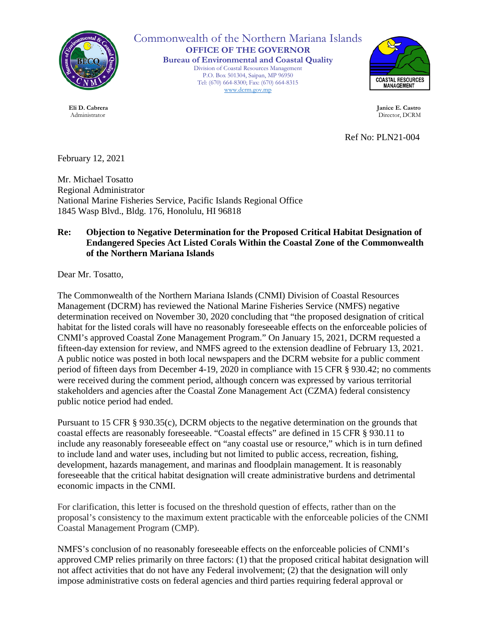

Commonwealth of the Northern Mariana Islands **OFFICE OF THE GOVERNOR Bureau of Environmental and Coastal Quality** Division of Coastal Resources Management

P.O. Box 501304, Saipan, MP 96950 Tel: (670) 664-8300; Fax: (670) 664-8315 [www.dcrm.gov.mp](http://www.dcrm.gov.mp/)



 **Eli D. Cabrera Janice E. Castro** Administrator Director, DCRM

Ref No: PLN21-004

February 12, 2021

Mr. Michael Tosatto Regional Administrator National Marine Fisheries Service, Pacific Islands Regional Office 1845 Wasp Blvd., Bldg. 176, Honolulu, HI 96818

## **Re: Objection to Negative Determination for the Proposed Critical Habitat Designation of Endangered Species Act Listed Corals Within the Coastal Zone of the Commonwealth of the Northern Mariana Islands**

Dear Mr. Tosatto,

The Commonwealth of the Northern Mariana Islands (CNMI) Division of Coastal Resources Management (DCRM) has reviewed the National Marine Fisheries Service (NMFS) negative determination received on November 30, 2020 concluding that "the proposed designation of critical habitat for the listed corals will have no reasonably foreseeable effects on the enforceable policies of CNMI's approved Coastal Zone Management Program." On January 15, 2021, DCRM requested a fifteen-day extension for review, and NMFS agreed to the extension deadline of February 13, 2021. A public notice was posted in both local newspapers and the DCRM website for a public comment period of fifteen days from December 4-19, 2020 in compliance with 15 CFR § 930.42; no comments were received during the comment period, although concern was expressed by various territorial stakeholders and agencies after the Coastal Zone Management Act (CZMA) federal consistency public notice period had ended.

Pursuant to 15 CFR § 930.35(c), DCRM objects to the negative determination on the grounds that coastal effects are reasonably foreseeable. "Coastal effects" are defined in 15 CFR § 930.11 to include any reasonably foreseeable effect on "any coastal use or resource," which is in turn defined to include land and water uses, including but not limited to public access, recreation, fishing, development, hazards management, and marinas and floodplain management. It is reasonably foreseeable that the critical habitat designation will create administrative burdens and detrimental economic impacts in the CNMI.

For clarification, this letter is focused on the threshold question of effects, rather than on the proposal's consistency to the maximum extent practicable with the enforceable policies of the CNMI Coastal Management Program (CMP).

NMFS's conclusion of no reasonably foreseeable effects on the enforceable policies of CNMI's approved CMP relies primarily on three factors: (1) that the proposed critical habitat designation will not affect activities that do not have any Federal involvement; (2) that the designation will only impose administrative costs on federal agencies and third parties requiring federal approval or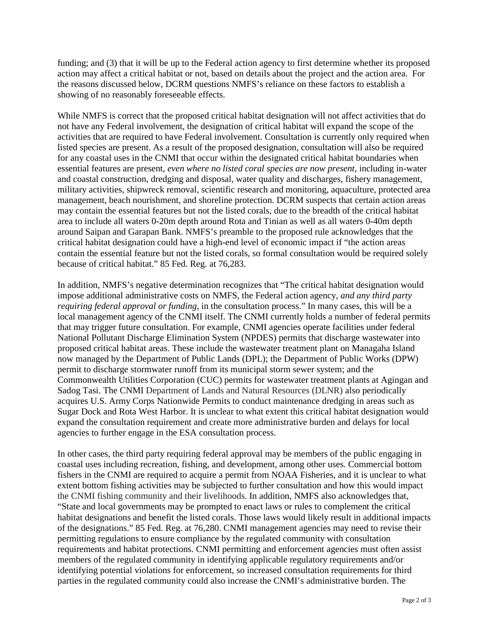funding; and (3) that it will be up to the Federal action agency to first determine whether its proposed action may affect a critical habitat or not, based on details about the project and the action area. For the reasons discussed below, DCRM questions NMFS's reliance on these factors to establish a showing of no reasonably foreseeable effects.

While NMFS is correct that the proposed critical habitat designation will not affect activities that do not have any Federal involvement, the designation of critical habitat will expand the scope of the activities that are required to have Federal involvement. Consultation is currently only required when listed species are present. As a result of the proposed designation, consultation will also be required for any coastal uses in the CNMI that occur within the designated critical habitat boundaries when essential features are present, *even where no listed coral species are now present*, including in-water and coastal construction, dredging and disposal, water quality and discharges, fishery management, military activities, shipwreck removal, scientific research and monitoring, aquaculture, protected area management, beach nourishment, and shoreline protection. DCRM suspects that certain action areas may contain the essential features but not the listed corals, due to the breadth of the critical habitat area to include all waters 0-20m depth around Rota and Tinian as well as all waters 0-40m depth around Saipan and Garapan Bank. NMFS's preamble to the proposed rule acknowledges that the critical habitat designation could have a high-end level of economic impact if "the action areas contain the essential feature but not the listed corals, so formal consultation would be required solely because of critical habitat." 85 Fed. Reg. at 76,283.

In addition, NMFS's negative determination recognizes that "The critical habitat designation would impose additional administrative costs on NMFS, the Federal action agency, *and any third party requiring federal approval or funding*, in the consultation process." In many cases, this will be a local management agency of the CNMI itself. The CNMI currently holds a number of federal permits that may trigger future consultation. For example, CNMI agencies operate facilities under federal National Pollutant Discharge Elimination System (NPDES) permits that discharge wastewater into proposed critical habitat areas. These include the wastewater treatment plant on Managaha Island now managed by the Department of Public Lands (DPL); the Department of Public Works (DPW) permit to discharge stormwater runoff from its municipal storm sewer system; and the Commonwealth Utilities Corporation (CUC) permits for wastewater treatment plants at Agingan and Sadog Tasi. The CNMI Department of Lands and Natural Resources (DLNR) also periodically acquires U.S. Army Corps Nationwide Permits to conduct maintenance dredging in areas such as Sugar Dock and Rota West Harbor. It is unclear to what extent this critical habitat designation would expand the consultation requirement and create more administrative burden and delays for local agencies to further engage in the ESA consultation process.

In other cases, the third party requiring federal approval may be members of the public engaging in coastal uses including recreation, fishing, and development, among other uses. Commercial bottom fishers in the CNMI are required to acquire a permit from NOAA Fisheries, and it is unclear to what extent bottom fishing activities may be subjected to further consultation and how this would impact the CNMI fishing community and their livelihoods. In addition, NMFS also acknowledges that, "State and local governments may be prompted to enact laws or rules to complement the critical habitat designations and benefit the listed corals. Those laws would likely result in additional impacts of the designations." 85 Fed. Reg. at 76,280. CNMI management agencies may need to revise their permitting regulations to ensure compliance by the regulated community with consultation requirements and habitat protections. CNMI permitting and enforcement agencies must often assist members of the regulated community in identifying applicable regulatory requirements and/or identifying potential violations for enforcement, so increased consultation requirements for third parties in the regulated community could also increase the CNMI's administrative burden. The